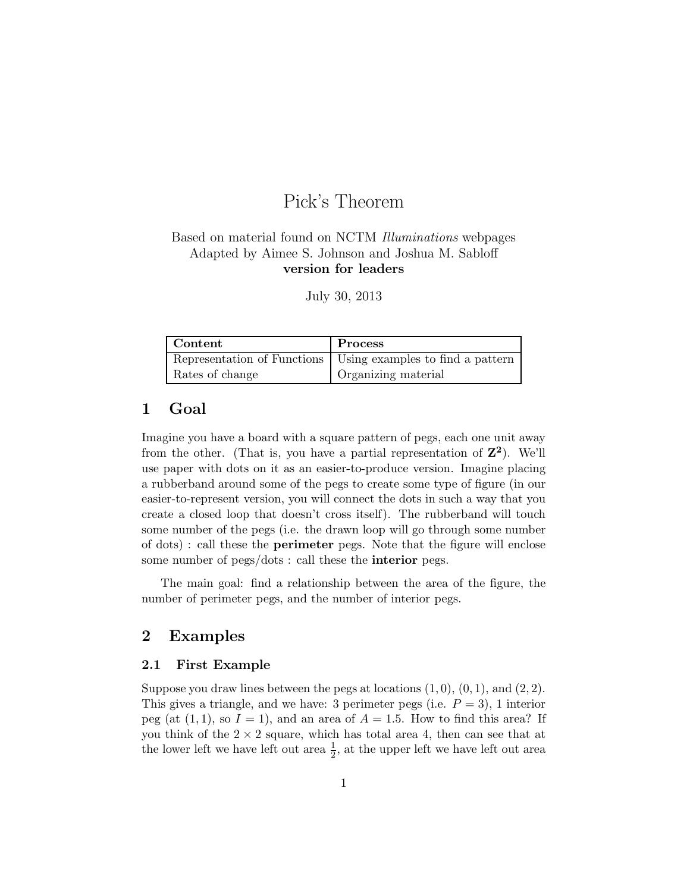# Pick's Theorem

## Based on material found on NCTM Illuminations webpages Adapted by Aimee S. Johnson and Joshua M. Sabloff version for leaders

July 30, 2013

| Content         | Process                                                        |
|-----------------|----------------------------------------------------------------|
|                 | Representation of Functions   Using examples to find a pattern |
| Rates of change | Organizing material                                            |

# 1 Goal

Imagine you have a board with a square pattern of pegs, each one unit away from the other. (That is, you have a partial representation of  $\mathbb{Z}^2$ ). We'll use paper with dots on it as an easier-to-produce version. Imagine placing a rubberband around some of the pegs to create some type of figure (in our easier-to-represent version, you will connect the dots in such a way that you create a closed loop that doesn't cross itself). The rubberband will touch some number of the pegs (i.e. the drawn loop will go through some number of dots) : call these the perimeter pegs. Note that the figure will enclose some number of pegs/dots : call these the interior pegs.

The main goal: find a relationship between the area of the figure, the number of perimeter pegs, and the number of interior pegs.

## 2 Examples

#### 2.1 First Example

Suppose you draw lines between the pegs at locations  $(1, 0), (0, 1),$  and  $(2, 2)$ . This gives a triangle, and we have: 3 perimeter pegs (i.e.  $P = 3$ ), 1 interior peg (at  $(1, 1)$ , so  $I = 1$ ), and an area of  $A = 1.5$ . How to find this area? If you think of the  $2 \times 2$  square, which has total area 4, then can see that at the lower left we have left out area  $\frac{1}{2}$ , at the upper left we have left out area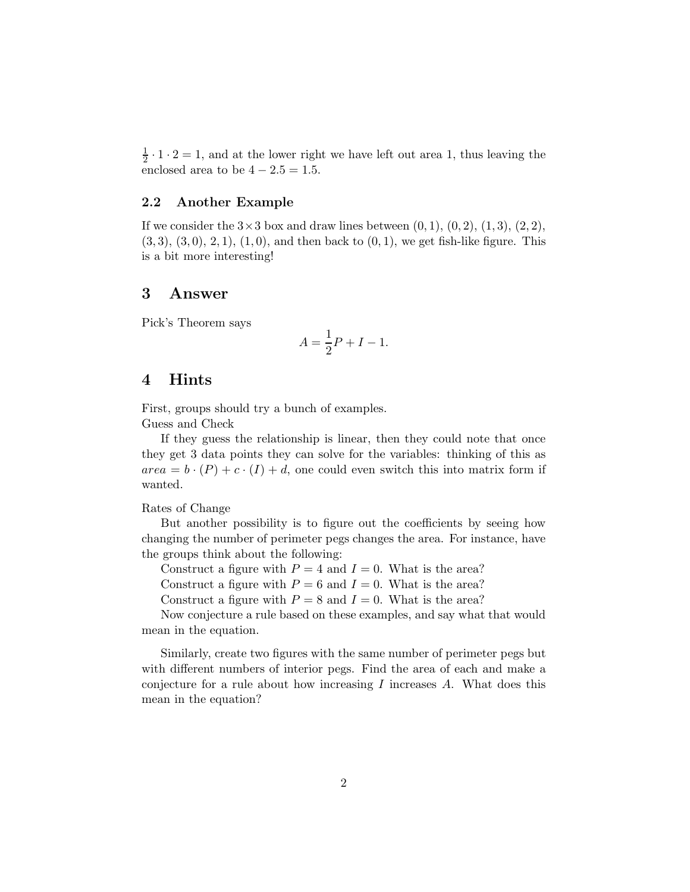$\frac{1}{2} \cdot 1 \cdot 2 = 1$ , and at the lower right we have left out area 1, thus leaving the enclosed area to be  $4 - 2.5 = 1.5$ .

#### 2.2 Another Example

If we consider the  $3\times3$  box and draw lines between  $(0, 1), (0, 2), (1, 3), (2, 2),$  $(3, 3), (3, 0), (2, 1), (1, 0),$  and then back to  $(0, 1)$ , we get fish-like figure. This is a bit more interesting!

#### 3 Answer

Pick's Theorem says

$$
A = \frac{1}{2}P + I - 1.
$$

#### 4 Hints

First, groups should try a bunch of examples. Guess and Check

If they guess the relationship is linear, then they could note that once they get 3 data points they can solve for the variables: thinking of this as  $area = b \cdot (P) + c \cdot (I) + d$ , one could even switch this into matrix form if wanted.

Rates of Change

But another possibility is to figure out the coefficients by seeing how changing the number of perimeter pegs changes the area. For instance, have the groups think about the following:

Construct a figure with  $P = 4$  and  $I = 0$ . What is the area?

Construct a figure with  $P = 6$  and  $I = 0$ . What is the area?

Construct a figure with  $P = 8$  and  $I = 0$ . What is the area?

Now conjecture a rule based on these examples, and say what that would mean in the equation.

Similarly, create two figures with the same number of perimeter pegs but with different numbers of interior pegs. Find the area of each and make a conjecture for a rule about how increasing  $I$  increases  $A$ . What does this mean in the equation?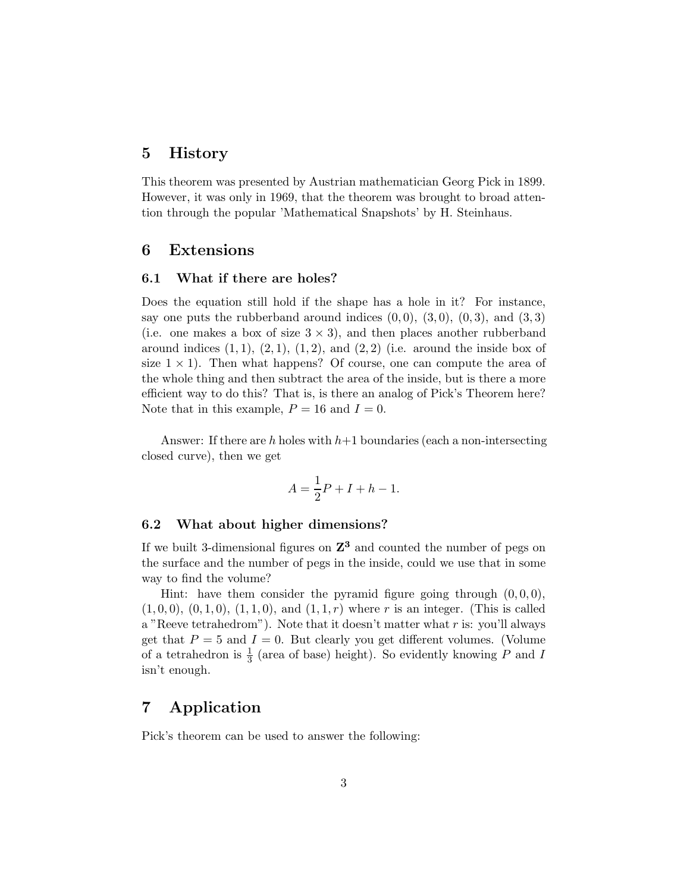## 5 History

This theorem was presented by Austrian mathematician Georg Pick in 1899. However, it was only in 1969, that the theorem was brought to broad attention through the popular 'Mathematical Snapshots' by H. Steinhaus.

## 6 Extensions

#### 6.1 What if there are holes?

Does the equation still hold if the shape has a hole in it? For instance, say one puts the rubberband around indices  $(0,0)$ ,  $(3,0)$ ,  $(0,3)$ , and  $(3,3)$ (i.e. one makes a box of size  $3 \times 3$ ), and then places another rubberband around indices  $(1, 1), (2, 1), (1, 2),$  and  $(2, 2)$  (i.e. around the inside box of size  $1 \times 1$ ). Then what happens? Of course, one can compute the area of the whole thing and then subtract the area of the inside, but is there a more efficient way to do this? That is, is there an analog of Pick's Theorem here? Note that in this example,  $P = 16$  and  $I = 0$ .

Answer: If there are h holes with  $h+1$  boundaries (each a non-intersecting closed curve), then we get

$$
A = \frac{1}{2}P + I + h - 1.
$$

#### 6.2 What about higher dimensions?

If we built 3-dimensional figures on  $\mathbb{Z}^3$  and counted the number of pegs on the surface and the number of pegs in the inside, could we use that in some way to find the volume?

Hint: have them consider the pyramid figure going through  $(0, 0, 0)$ ,  $(1, 0, 0), (0, 1, 0), (1, 1, 0),$  and  $(1, 1, r)$  where r is an integer. (This is called a "Reeve tetrahedrom"). Note that it doesn't matter what  $r$  is: you'll always get that  $P = 5$  and  $I = 0$ . But clearly you get different volumes. (Volume of a tetrahedron is  $\frac{1}{3}$  (area of base) height). So evidently knowing  $\overline{P}$  and I isn't enough.

# 7 Application

Pick's theorem can be used to answer the following: